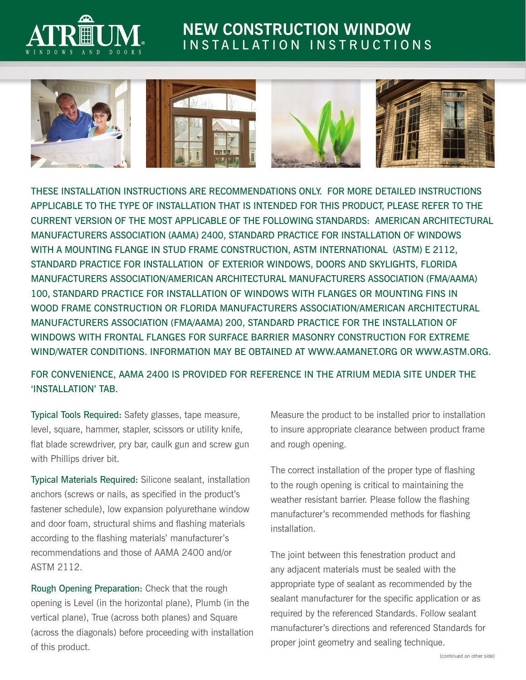

## **NEW CONSTRUCTION WINDOW**  INSTALLATION INSTRUCTIONS



THESE INSTALLATION INSTRUCTIONS ARE RECOMMENDATIONS ONLY. FOR MORE DETAILED INSTRUCTIONS APPLICABLE TO THE TYPE OF INSTALLATION THAT IS INTENDED FOR THIS PRODUCT, PLEASE REFER TO THE CURRENT VERSION OF THE MOST APPLICABLE OF THE FOLLOWING STANDARDS: AMERICAN ARCHITECTURAL MANUFACTURERS ASSOCIATION (AAMA) 2400, STANDARD PRACTICE FOR INSTALLATION OF WINDOWS WITH A MOUNTING FLANGE IN STUD FRAME CONSTRUCTION, ASTM INTERNATIONAL (ASTM) E 2112, STANDARD PRACTICE FOR INSTALLATION OF EXTERIOR WINDOWS, DOORS AND SKYLIGHTS, FLORIDA MANUFACTURERS ASSOCIATION/AMERICAN ARCHITECTURAL MANUFACTURERS ASSOCIATION (FMA/AAMA) 100, STANDARD PRACTICE FOR INSTALLATION OF WINDOWS WITH FLANGES OR MOUNTING FINS IN WOOD FRAME CONSTRUCTION OR FLORIDA MANUFACTURERS ASSOCIATION/AMERICAN ARCHITECTURAL MANUFACTURERS ASSOCIATION (FMA/AAMA) 200, STANDARD PRACTICE FOR THE INSTALLATION OF WINDOWS WITH FRONTAL FLANGES FOR SURFACE BARRIER MASONRY CONSTRUCTION FOR EXTREME WIND/WATER CONDITIONS. INFORMATION MAY BE OBTAINED AT WWW.AAMANET.ORG OR WWW.ASTM.ORG.

## FOR CONVENIENCE, AAMA 2400 IS PROVIDED FOR REFERENCE IN THE ATRIUM MEDIA SITE UNDER THE 'INSTALLATION' TAB.

Typical Tools Required: Safety glasses, tape measure, level, square, hammer, stapler, scissors or utility knife, flat blade screwdriver, pry bar, caulk gun and screw gun with Phillips driver bit.

Typical Materials Required: Silicone sealant, installation anchors (screws or nails, as specified in the product's fastener schedule), low expansion polyurethane window and door foam, structural shims and flashing materials according to the flashing materials' manufacturer's recommendations and those of AAMA 2400 and/or ASTM 2112.

Rough Opening Preparation: Check that the rough opening is Level (in the horizontal plane), Plumb (in the vertical plane), True (across both planes) and Square (across the diagonals) before proceeding with installation of this product.

Measure the product to be installed prior to installation to insure appropriate clearance between product frame and rough opening.

The correct installation of the proper type of flashing to the rough opening is critical to maintaining the weather resistant barrier. Please follow the flashing manufacturer's recommended methods for flashing installation.

The joint between this fenestration product and any adjacent materials must be sealed with the appropriate type of sealant as recommended by the sealant manufacturer for the specific application or as required by the referenced Standards. Follow sealant manufacturer's directions and referenced Standards for proper joint geometry and sealing technique.